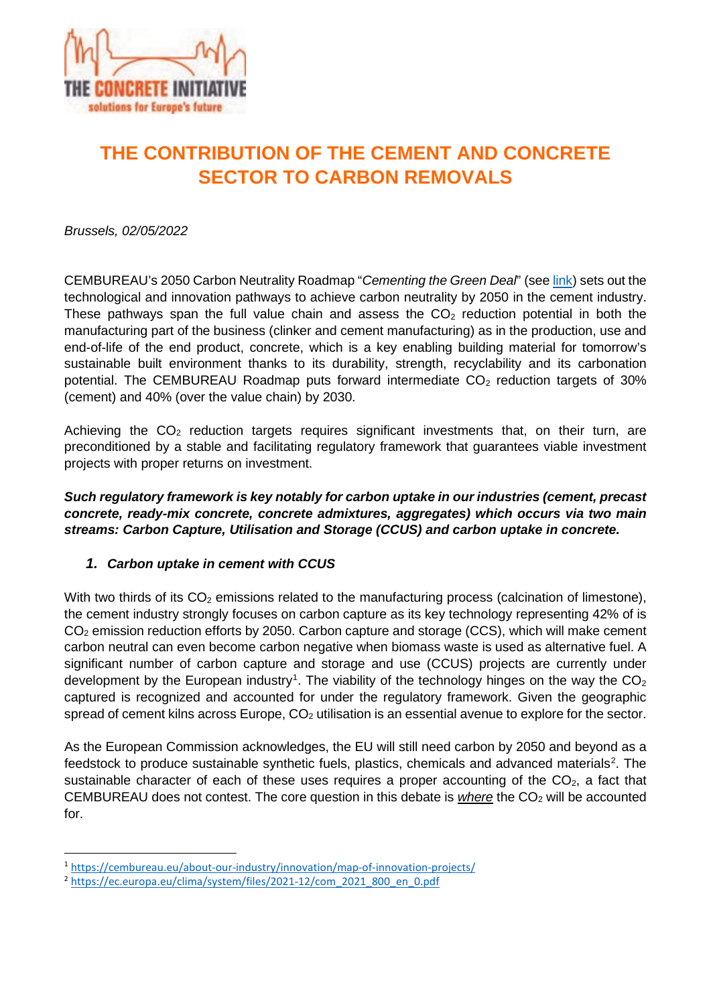

# **THE CONTRIBUTION OF THE CEMENT AND CONCRETE SECTOR TO CARBON REMOVALS**

*Brussels, 02/05/2022* 

CEMBUREAU's 2050 Carbon Neutrality Roadmap "*Cementing the Green Deal*" (see [link\)](https://cembureau.eu/media/kuxd32gi/cembureau-2050-roadmap_final-version_web.pdf) sets out the technological and innovation pathways to achieve carbon neutrality by 2050 in the cement industry. These pathways span the full value chain and assess the  $CO<sub>2</sub>$  reduction potential in both the manufacturing part of the business (clinker and cement manufacturing) as in the production, use and end-of-life of the end product, concrete, which is a key enabling building material for tomorrow's sustainable built environment thanks to its durability, strength, recyclability and its carbonation potential. The CEMBUREAU Roadmap puts forward intermediate  $CO<sub>2</sub>$  reduction targets of 30% (cement) and 40% (over the value chain) by 2030.

Achieving the  $CO<sub>2</sub>$  reduction targets requires significant investments that, on their turn, are preconditioned by a stable and facilitating regulatory framework that guarantees viable investment projects with proper returns on investment.

*Such regulatory framework is key notably for carbon uptake in our industries (cement, precast concrete, ready-mix concrete, concrete admixtures, aggregates) which occurs via two main streams: Carbon Capture, Utilisation and Storage (CCUS) and carbon uptake in concrete.* 

#### *1. Carbon uptake in cement with CCUS*

With two thirds of its  $CO<sub>2</sub>$  emissions related to the manufacturing process (calcination of limestone), the cement industry strongly focuses on carbon capture as its key technology representing 42% of is CO2 emission reduction efforts by 2050. Carbon capture and storage (CCS), which will make cement carbon neutral can even become carbon negative when biomass waste is used as alternative fuel. A significant number of carbon capture and storage and use (CCUS) projects are currently under development by the European industry<sup>[1](#page-0-0)</sup>. The viability of the technology hinges on the way the CO<sub>2</sub> captured is recognized and accounted for under the regulatory framework. Given the geographic spread of cement kilns across Europe,  $CO<sub>2</sub>$  utilisation is an essential avenue to explore for the sector.

As the European Commission acknowledges, the EU will still need carbon by 2050 and beyond as a feedstock to produce sustainable synthetic fuels, plastics, chemicals and advanced materials<sup>[2](#page-0-1)</sup>. The sustainable character of each of these uses requires a proper accounting of the  $CO<sub>2</sub>$ , a fact that CEMBUREAU does not contest. The core question in this debate is *where* the CO<sub>2</sub> will be accounted for.

<span id="page-0-0"></span><sup>1</sup> <https://cembureau.eu/about-our-industry/innovation/map-of-innovation-projects/>

<span id="page-0-1"></span><sup>2</sup> [https://ec.europa.eu/clima/system/files/2021-12/com\\_2021\\_800\\_en\\_0.pdf](https://ec.europa.eu/clima/system/files/2021-12/com_2021_800_en_0.pdf)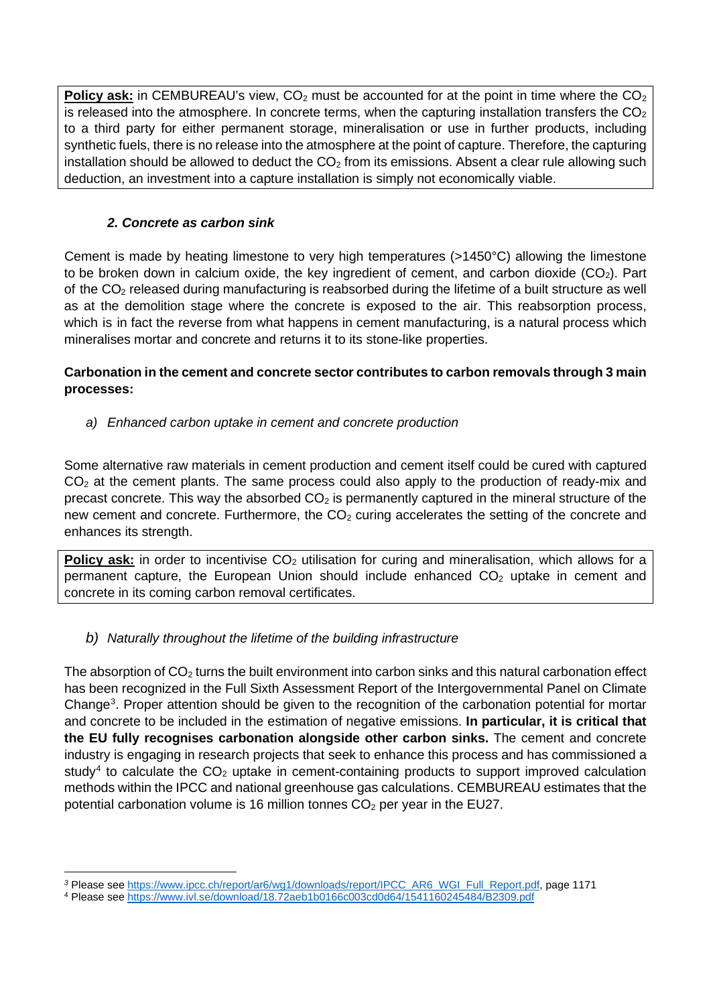**Policy ask:** in CEMBUREAU's view, CO<sub>2</sub> must be accounted for at the point in time where the CO<sub>2</sub> is released into the atmosphere. In concrete terms, when the capturing installation transfers the  $CO<sub>2</sub>$ to a third party for either permanent storage, mineralisation or use in further products, including synthetic fuels, there is no release into the atmosphere at the point of capture. Therefore, the capturing installation should be allowed to deduct the  $CO<sub>2</sub>$  from its emissions. Absent a clear rule allowing such deduction, an investment into a capture installation is simply not economically viable.

## *2. Concrete as carbon sink*

Cement is made by heating limestone to very high temperatures (>1450°C) allowing the limestone to be broken down in calcium oxide, the key ingredient of cement, and carbon dioxide  $(CO<sub>2</sub>)$ . Part of the  $CO<sub>2</sub>$  released during manufacturing is reabsorbed during the lifetime of a built structure as well as at the demolition stage where the concrete is exposed to the air. This reabsorption process, which is in fact the reverse from what happens in cement manufacturing, is a natural process which mineralises mortar and concrete and returns it to its stone-like properties.

#### **Carbonation in the cement and concrete sector contributes to carbon removals through 3 main processes:**

## *a) Enhanced carbon uptake in cement and concrete production*

Some alternative raw materials in cement production and cement itself could be cured with captured  $CO<sub>2</sub>$  at the cement plants. The same process could also apply to the production of ready-mix and precast concrete. This way the absorbed  $CO<sub>2</sub>$  is permanently captured in the mineral structure of the new cement and concrete. Furthermore, the  $CO<sub>2</sub>$  curing accelerates the setting of the concrete and enhances its strength.

**Policy ask:** in order to incentivise CO<sub>2</sub> utilisation for curing and mineralisation, which allows for a permanent capture, the European Union should include enhanced  $CO<sub>2</sub>$  uptake in cement and concrete in its coming carbon removal certificates.

## *b) Naturally throughout the lifetime of the building infrastructure*

The absorption of  $CO<sub>2</sub>$  turns the built environment into carbon sinks and this natural carbonation effect has been recognized in the Full Sixth Assessment Report of the Intergovernmental Panel on Climate Change<sup>[3](#page-1-0)</sup>. Proper attention should be given to the recognition of the carbonation potential for mortar and concrete to be included in the estimation of negative emissions. **In particular, it is critical that the EU fully recognises carbonation alongside other carbon sinks.** The cement and concrete industry is engaging in research projects that seek to enhance this process and has commissioned a study<sup>[4](#page-1-1)</sup> to calculate the  $CO<sub>2</sub>$  uptake in cement-containing products to support improved calculation methods within the IPCC and national greenhouse gas calculations. CEMBUREAU estimates that the potential carbonation volume is 16 million tonnes  $CO<sub>2</sub>$  per year in the EU27.

<sup>&</sup>lt;sup>3</sup> Please see [https://www.ipcc.ch/report/ar6/wg1/downloads/report/IPCC\\_AR6\\_WGI\\_Full\\_Report.pdf,](https://www.ipcc.ch/report/ar6/wg1/downloads/report/IPCC_AR6_WGI_Full_Report.pdf) page 1171 4 Please se[e https://www.ivl.se/download/18.72aeb1b0166c003cd0d64/1541160245484/B2309.pdf](https://www.ivl.se/download/18.72aeb1b0166c003cd0d64/1541160245484/B2309.pdf)

<span id="page-1-1"></span><span id="page-1-0"></span>